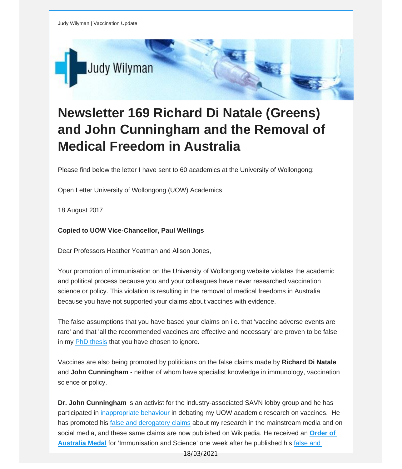

## **Newsletter 169 Richard Di Natale (Greens) and John Cunningham and the Removal of Medical Freedom in Australia**

Please find below the letter I have sent to 60 academics at the University of Wollongong:

Open Letter University of Wollongong (UOW) Academics

18 August 2017

**Copied to UOW Vice-Chancellor, Paul Wellings**

Dear Professors Heather Yeatman and Alison Jones,

Your promotion of immunisation on the University of Wollongong website violates the academic and political process because you and your colleagues have never researched vaccination science or policy. This violation is resulting in the removal of medical freedoms in Australia because you have not supported your claims about vaccines with evidence.

The false assumptions that you have based your claims on i.e. that 'vaccine adverse events are rare' and that 'all the recommended vaccines are effective and necessary' are proven to be false in my PhD [thesis](http://vaccinationdecisions.us8.list-manage.com/track/click?u=f20605fde3732e41929f4a3f2&id=ccdf081616&e=fec8337d3c) that you have chosen to ignore.

Vaccines are also being promoted by politicians on the false claims made by **Richard Di Natale** and **John Cunningham** - neither of whom have specialist knowledge in immunology, vaccination science or policy.

**Dr. John Cunningham** is an activist for the industry-associated SAVN lobby group and he has participated in [inappropriate](http://vaccinationdecisions.us8.list-manage.com/track/click?u=f20605fde3732e41929f4a3f2&id=686e391925&e=fec8337d3c) behaviour in debating my UOW academic research on vaccines. He has promoted his false and [derogatory](http://vaccinationdecisions.us8.list-manage.com/track/click?u=f20605fde3732e41929f4a3f2&id=2b57a67876&e=fec8337d3c) claims about my research in the mainstream media and on social media, and these same claims are now published on Wikipedia. He received an **[Order](http://vaccinationdecisions.us8.list-manage.com/track/click?u=f20605fde3732e41929f4a3f2&id=8448270384&e=fec8337d3c) of [Australia](http://vaccinationdecisions.us8.list-manage.com/track/click?u=f20605fde3732e41929f4a3f2&id=8448270384&e=fec8337d3c) Medal** for 'Immunisation and Science' one week after he published his [false](http://vaccinationdecisions.us8.list-manage1.com/track/click?u=f20605fde3732e41929f4a3f2&id=56034380d8&e=fec8337d3c) and

18/03/2021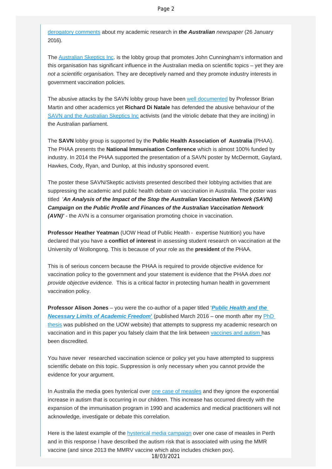derogatory comments about my academic research in *the Australian newspaper* (26 January 2016).

The [Australian Skeptics Inc](http://vaccinationdecisions.us8.list-manage.com/track/click?u=f20605fde3732e41929f4a3f2&id=6503a9d431&e=fec8337d3c). is the lobby group that promotes John Cunningham's information and this organisation has significant influence in the Australian media on scientific topics – yet they are *not a scientific organisation.* They are deceptively named and they promote industry interests in government vaccination policies.

The abusive attacks by the SAVN lobby group have been [well documented](http://vaccinationdecisions.us8.list-manage1.com/track/click?u=f20605fde3732e41929f4a3f2&id=e7002a37d8&e=fec8337d3c) by Professor Brian Martin and other academics yet **Richard Di Natale** has defended the abusive behaviour of the [SAVN and the Australian Skeptics Inc](http://vaccinationdecisions.us8.list-manage.com/track/click?u=f20605fde3732e41929f4a3f2&id=19e0720526&e=fec8337d3c) activists (and the vitriolic debate that they are inciting) in the Australian parliament.

The **SAVN** lobby group is supported by the **Public Health Association of Australia** (PHAA). The PHAA presents the **National Immunisation Conference** which is almost 100% funded by industry. In 2014 the PHAA supported the presentation of a SAVN poster by McDermott, Gaylard, Hawkes, Cody, Ryan, and Dunlop, at this industry sponsored event.

The poster these SAVN/Skeptic activists presented described their lobbying activities that are suppressing the academic and public health debate on vaccination in Australia. The poster was titled '*An Analysis of the Impact of the Stop the Australian Vaccination Network (SAVN) Campaign on the Public Profile and Finances of the Australian Vaccination Network (AVN)'* - the AVN is a consumer organisation promoting choice in vaccination.

**Professor Heather Yeatman** (UOW Head of Public Health - expertise Nutrition) you have declared that you have a **conflict of interest** in assessing student research on vaccination at the University of Wollongong. This is because of your role as the **president** of the PHAA.

This is of serious concern because the PHAA is required to provide objective evidence for vaccination policy to the government and your statement is evidence that the PHAA *does not provide objective evidence.* This is a critical factor in protecting human health in government vaccination policy.

**Professor Alison Jones** – you were the co-author of a paper titled '*[Public Health and the](http://vaccinationdecisions.us8.list-manage2.com/track/click?u=f20605fde3732e41929f4a3f2&id=31cb2c140f&e=fec8337d3c) [Necessary Limits of Academic Freedom](http://vaccinationdecisions.us8.list-manage2.com/track/click?u=f20605fde3732e41929f4a3f2&id=31cb2c140f&e=fec8337d3c)***'** (published March 2016 – one month after my [PhD](http://vaccinationdecisions.us8.list-manage2.com/track/click?u=f20605fde3732e41929f4a3f2&id=65f1a41457&e=fec8337d3c)  [thesis](http://vaccinationdecisions.us8.list-manage2.com/track/click?u=f20605fde3732e41929f4a3f2&id=65f1a41457&e=fec8337d3c) was published on the UOW website) that attempts to suppress my academic research on vaccination and in this paper you falsely claim that the link between [vaccines and autism h](http://vaccinationdecisions.us8.list-manage.com/track/click?u=f20605fde3732e41929f4a3f2&id=888c5d62e2&e=fec8337d3c)as been discredited.

You have never researched vaccination science or policy yet you have attempted to suppress scientific debate on this topic. Suppression is only necessary when you cannot provide the evidence for your argument.

In Australia the media goes hysterical over [one case of measles](http://vaccinationdecisions.us8.list-manage.com/track/click?u=f20605fde3732e41929f4a3f2&id=708c4f9f5c&e=fec8337d3c) and they ignore the exponential increase in autism that is occurring in our children. This increase has occurred directly with the expansion of the immunisation program in 1990 and academics and medical practitioners will not acknowledge, investigate or debate this correlation.

Here is the latest example of the **hysterical media campaign** over one case of measles in Perth and in this response I have described the autism risk that is associated with using the MMR vaccine (and since 2013 the MMRV vaccine which also includes chicken pox).

18/03/2021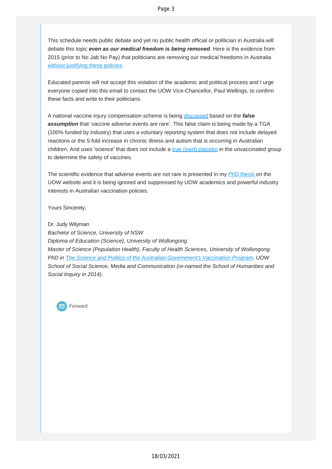This schedule needs public debate and yet no public health official or politician in Australia will debate this topic *even as our medical freedom is being removed*. Here is the evidence from 2015 (prior to No Jab No Pay) that politicians are removing our medical freedoms in Australia without [justifying](http://vaccinationdecisions.us8.list-manage.com/track/click?u=f20605fde3732e41929f4a3f2&id=c37c8053aa&e=fec8337d3c) these policies.

Educated parents will not accept this violation of the academic and political process and I urge everyone copied into this email to contact the UOW Vice-Chancellor, Paul Wellings, to confirm these facts and write to their politicians.

A national vaccine injury compensation scheme is being [discussed](http://vaccinationdecisions.us8.list-manage1.com/track/click?u=f20605fde3732e41929f4a3f2&id=7232a6712d&e=fec8337d3c) based on the *false assumption* that 'vaccine adverse events are rare'. This false claim is being made by a TGA (100% funded by industry) that uses a voluntary reporting system that does not include delayed reactions or the 5-fold increase in chronic illness and autism that is occurring in Australian children. And uses 'science' that does not include a true (inert) [placebo](http://vaccinationdecisions.us8.list-manage1.com/track/click?u=f20605fde3732e41929f4a3f2&id=5c2a73be0f&e=fec8337d3c) in the unvaccinated group to determine the safety of vaccines.

The scientific evidence that adverse events are not rare is presented in my PhD [thesis](http://vaccinationdecisions.us8.list-manage.com/track/click?u=f20605fde3732e41929f4a3f2&id=4d3fc954fe&e=fec8337d3c) on the UOW website and it is being ignored and suppressed by UOW academics and powerful industry interests in Australian vaccination policies.

Yours Sincerely,

Dr. Judy Wilyman *Bachelor of Science, University of NSW Diploma of Education (Science), University of Wollongong Master of Science (Population Health), Faculty of Health Sciences, University of Wollongong. PhD in The Science and Politics of the Australian [Government's](http://vaccinationdecisions.us8.list-manage.com/track/click?u=f20605fde3732e41929f4a3f2&id=e0fe95fde2&e=fec8337d3c) Vaccination Program, UOW School of Social Science, Media and Communication (re-named the School of Humanities and Social Inquiry in 2014).*

Forward